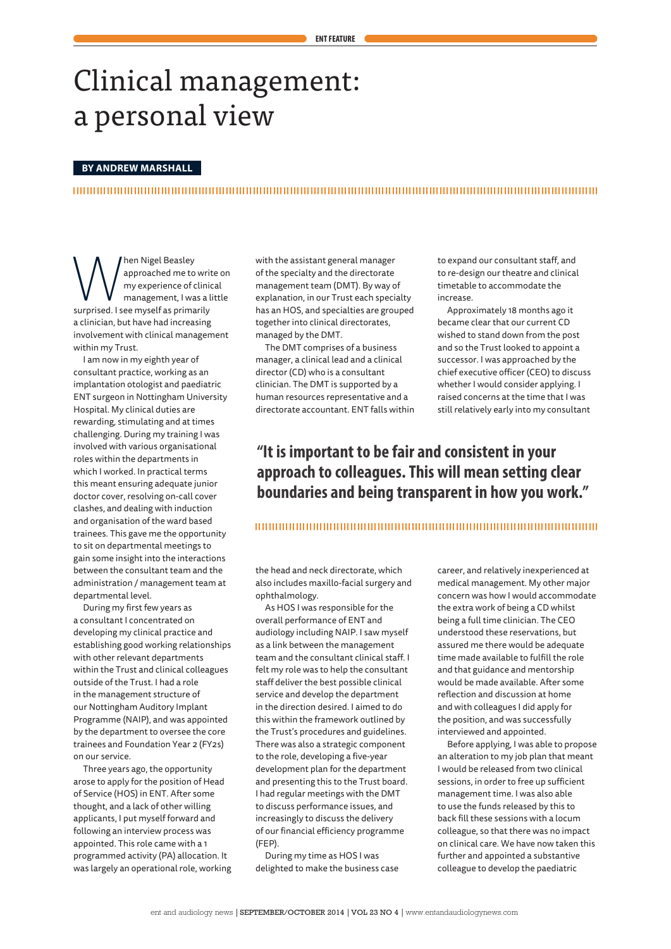# Clinical management: a personal view

### **BY ANDREW MARSHALL**

**Same Start Control Control Control Control Control Control Control Control Control Control Control Control Control Control Control Control Control Control Control Control Control Control Control Control Control Control Co** approached me to write on my experience of clinical management, I was a little a clinician, but have had increasing involvement with clinical management within my Trust.

I am now in my eighth year of consultant practice, working as an implantation otologist and paediatric ENT surgeon in Nottingham University Hospital. My clinical duties are rewarding, stimulating and at times challenging. During my training I was involved with various organisational roles within the departments in which I worked. In practical terms this meant ensuring adequate junior doctor cover, resolving on-call cover clashes, and dealing with induction and organisation of the ward based trainees. This gave me the opportunity to sit on departmental meetings to gain some insight into the interactions between the consultant team and the administration / management team at departmental level.

During my first few years as a consultant I concentrated on developing my clinical practice and establishing good working relationships with other relevant departments within the Trust and clinical colleagues outside of the Trust. I had a role in the management structure of our Nottingham Auditory Implant Programme (NAIP), and was appointed by the department to oversee the core trainees and Foundation Year 2 (FY2s) on our service.

Three years ago, the opportunity arose to apply for the position of Head of Service (HOS) in ENT. After some thought, and a lack of other willing applicants, I put myself forward and following an interview process was appointed. This role came with a 1 programmed activity (PA) allocation. It was largely an operational role, working with the assistant general manager of the specialty and the directorate management team (DMT). By way of explanation, in our Trust each specialty has an HOS, and specialties are grouped together into clinical directorates, managed by the DMT.

The DMT comprises of a business manager, a clinical lead and a clinical director (CD) who is a consultant clinician. The DMT is supported by a human resources representative and a directorate accountant FNT falls within

to expand our consultant staff, and to re-design our theatre and clinical timetable to accommodate the increase.

Approximately 18 months ago it became clear that our current CD wished to stand down from the post and so the Trust looked to appoint a successor. I was approached by the chief executive officer (CEO) to discuss whether I would consider applying. I raised concerns at the time that I was still relatively early into my consultant

### *"It is important to be fair and consistent in your* approach to colleagues. This will mean setting clear boundaries and being transparent in how you work."

#### 

the head and neck directorate, which also includes maxillo-facial surgery and .ophthalmology

As HOS I was responsible for the overall performance of ENT and audiology including NAIP. I saw myself as a link between the management team and the consultant clinical staff. I felt my role was to help the consultant staff deliver the best possible clinical service and develop the department in the direction desired. Laimed to do this within the framework outlined by the Trust's procedures and guidelines. There was also a strategic component to the role, developing a five-year development plan for the department and presenting this to the Trust board. I had regular meetings with the DMT to discuss performance issues, and increasingly to discuss the delivery of our financial efficiency programme  $(FEP)$ 

During my time as HOS I was delighted to make the business case career, and relatively inexperienced at medical management. My other major concern was how I would accommodate the extra work of being a CD whilst being a full time clinician. The CEO understood these reservations, but assured me there would be adequate time made available to fulfill the role and that guidance and mentorship would be made available. After some reflection and discussion at home and with colleagues I did apply for the position, and was successfully interviewed and appointed.

Before applying, I was able to propose an alteration to my job plan that meant I would be released from two clinical sessions, in order to free up sufficient management time. I was also able to use the funds released by this to back fill these sessions with a locum colleague, so that there was no impact on clinical care. We have now taken this further and appointed a substantive colleague to develop the paediatric